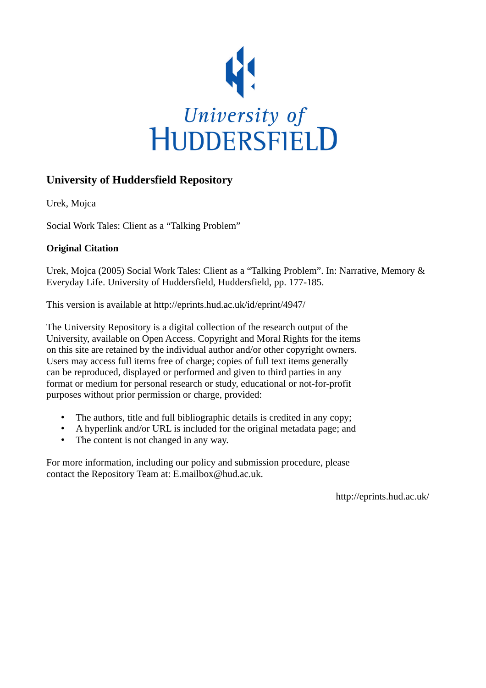

## **University of Huddersfield Repository**

Urek, Mojca

Social Work Tales: Client as a "Talking Problem"

### **Original Citation**

Urek, Mojca (2005) Social Work Tales: Client as a "Talking Problem". In: Narrative, Memory & Everyday Life. University of Huddersfield, Huddersfield, pp. 177-185.

This version is available at http://eprints.hud.ac.uk/id/eprint/4947/

The University Repository is a digital collection of the research output of the University, available on Open Access. Copyright and Moral Rights for the items on this site are retained by the individual author and/or other copyright owners. Users may access full items free of charge; copies of full text items generally can be reproduced, displayed or performed and given to third parties in any format or medium for personal research or study, educational or not-for-profit purposes without prior permission or charge, provided:

- The authors, title and full bibliographic details is credited in any copy;
- A hyperlink and/or URL is included for the original metadata page; and
- The content is not changed in any way.

For more information, including our policy and submission procedure, please contact the Repository Team at: E.mailbox@hud.ac.uk.

http://eprints.hud.ac.uk/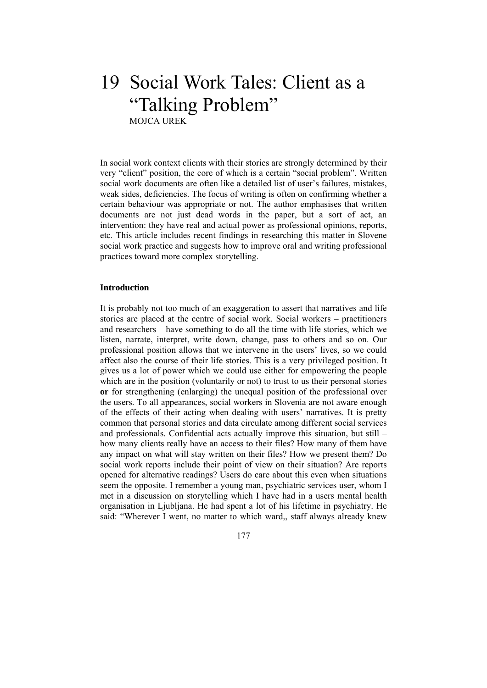# 19 Social Work Tales: Client as a "Talking Problem" MOJCA UREK

In social work context clients with their stories are strongly determined by their very "client" position, the core of which is a certain "social problem". Written social work documents are often like a detailed list of user's failures, mistakes, weak sides, deficiencies. The focus of writing is often on confirming whether a certain behaviour was appropriate or not. The author emphasises that written documents are not just dead words in the paper, but a sort of act, an intervention: they have real and actual power as professional opinions, reports, etc. This article includes recent findings in researching this matter in Slovene social work practice and suggests how to improve oral and writing professional practices toward more complex storytelling.

#### **Introduction**

It is probably not too much of an exaggeration to assert that narratives and life stories are placed at the centre of social work. Social workers – practitioners and researchers – have something to do all the time with life stories, which we listen, narrate, interpret, write down, change, pass to others and so on. Our professional position allows that we intervene in the users' lives, so we could affect also the course of their life stories. This is a very privileged position. It gives us a lot of power which we could use either for empowering the people which are in the position (voluntarily or not) to trust to us their personal stories **or** for strengthening (enlarging) the unequal position of the professional over the users. To all appearances, social workers in Slovenia are not aware enough of the effects of their acting when dealing with users' narratives. It is pretty common that personal stories and data circulate among different social services and professionals. Confidential acts actually improve this situation, but still – how many clients really have an access to their files? How many of them have any impact on what will stay written on their files? How we present them? Do social work reports include their point of view on their situation? Are reports opened for alternative readings? Users do care about this even when situations seem the opposite. I remember a young man, psychiatric services user, whom I met in a discussion on storytelling which I have had in a users mental health organisation in Ljubljana. He had spent a lot of his lifetime in psychiatry. He said: "Wherever I went, no matter to which ward,, staff always already knew

177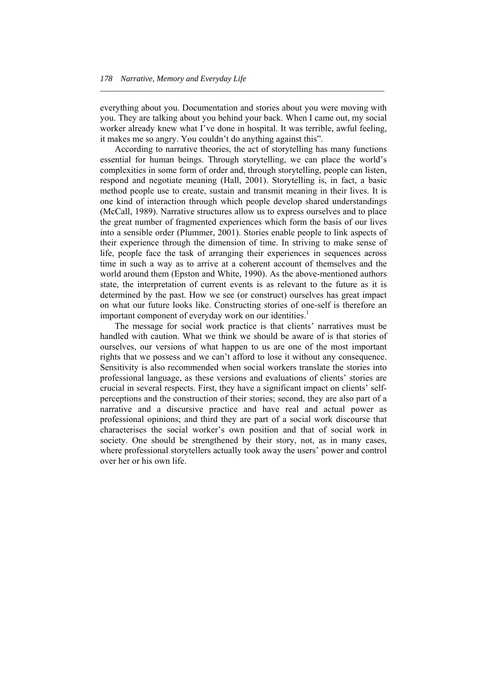everything about you. Documentation and stories about you were moving with you. They are talking about you behind your back. When I came out, my social worker already knew what I've done in hospital. It was terrible, awful feeling, it makes me so angry. You couldn't do anything against this".

*\_\_\_\_\_\_\_\_\_\_\_\_\_\_\_\_\_\_\_\_\_\_\_\_\_\_\_\_\_\_\_\_\_\_\_\_\_\_\_\_\_\_\_\_\_\_\_\_\_\_\_\_\_\_\_\_\_\_\_\_\_\_\_\_\_\_\_\_\_* 

 According to narrative theories, the act of storytelling has many functions essential for human beings. Through storytelling, we can place the world's complexities in some form of order and, through storytelling, people can listen, respond and negotiate meaning (Hall, 2001). Storytelling is, in fact, a basic method people use to create, sustain and transmit meaning in their lives. It is one kind of interaction through which people develop shared understandings (McCall, 1989). Narrative structures allow us to express ourselves and to place the great number of fragmented experiences which form the basis of our lives into a sensible order (Plummer, 2001). Stories enable people to link aspects of their experience through the dimension of time. In striving to make sense of life, people face the task of arranging their experiences in sequences across time in such a way as to arrive at a coherent account of themselves and the world around them (Epston and White, 1990). As the above-mentioned authors state, the interpretation of current events is as relevant to the future as it is determined by the past. How we see (or construct) ourselves has great impact on what our future looks like. Constructing stories of one-self is therefore an important component of everyday work on our identities.<sup>1</sup>

 The message for social work practice is that clients' narratives must be handled with caution. What we think we should be aware of is that stories of ourselves, our versions of what happen to us are one of the most important rights that we possess and we can't afford to lose it without any consequence. Sensitivity is also recommended when social workers translate the stories into professional language, as these versions and evaluations of clients' stories are crucial in several respects. First, they have a significant impact on clients' selfperceptions and the construction of their stories; second, they are also part of a narrative and a discursive practice and have real and actual power as professional opinions; and third they are part of a social work discourse that characterises the social worker's own position and that of social work in society. One should be strengthened by their story, not, as in many cases, where professional storytellers actually took away the users' power and control over her or his own life.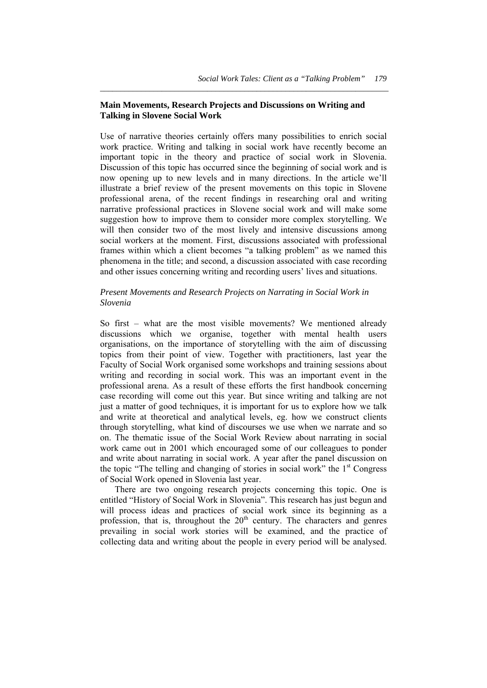#### **Main Movements, Research Projects and Discussions on Writing and Talking in Slovene Social Work**

*\_\_\_\_\_\_\_\_\_\_\_\_\_\_\_\_\_\_\_\_\_\_\_\_\_\_\_\_\_\_\_\_\_\_\_\_\_\_\_\_\_\_\_\_\_\_\_\_\_\_\_\_\_\_\_\_\_\_\_\_\_\_\_\_\_\_\_\_\_\_* 

Use of narrative theories certainly offers many possibilities to enrich social work practice. Writing and talking in social work have recently become an important topic in the theory and practice of social work in Slovenia. Discussion of this topic has occurred since the beginning of social work and is now opening up to new levels and in many directions. In the article we'll illustrate a brief review of the present movements on this topic in Slovene professional arena, of the recent findings in researching oral and writing narrative professional practices in Slovene social work and will make some suggestion how to improve them to consider more complex storytelling. We will then consider two of the most lively and intensive discussions among social workers at the moment. First, discussions associated with professional frames within which a client becomes "a talking problem" as we named this phenomena in the title; and second, a discussion associated with case recording and other issues concerning writing and recording users' lives and situations.

#### *Present Movements and Research Projects on Narrating in Social Work in Slovenia*

So first – what are the most visible movements? We mentioned already discussions which we organise, together with mental health users organisations, on the importance of storytelling with the aim of discussing topics from their point of view. Together with practitioners, last year the Faculty of Social Work organised some workshops and training sessions about writing and recording in social work. This was an important event in the professional arena. As a result of these efforts the first handbook concerning case recording will come out this year. But since writing and talking are not just a matter of good techniques, it is important for us to explore how we talk and write at theoretical and analytical levels, eg. how we construct clients through storytelling, what kind of discourses we use when we narrate and so on. The thematic issue of the Social Work Review about narrating in social work came out in 2001 which encouraged some of our colleagues to ponder and write about narrating in social work. A year after the panel discussion on the topic "The telling and changing of stories in social work" the  $1<sup>st</sup>$  Congress of Social Work opened in Slovenia last year.

 There are two ongoing research projects concerning this topic. One is entitled "History of Social Work in Slovenia". This research has just begun and will process ideas and practices of social work since its beginning as a profession, that is, throughout the  $20<sup>th</sup>$  century. The characters and genres prevailing in social work stories will be examined, and the practice of collecting data and writing about the people in every period will be analysed.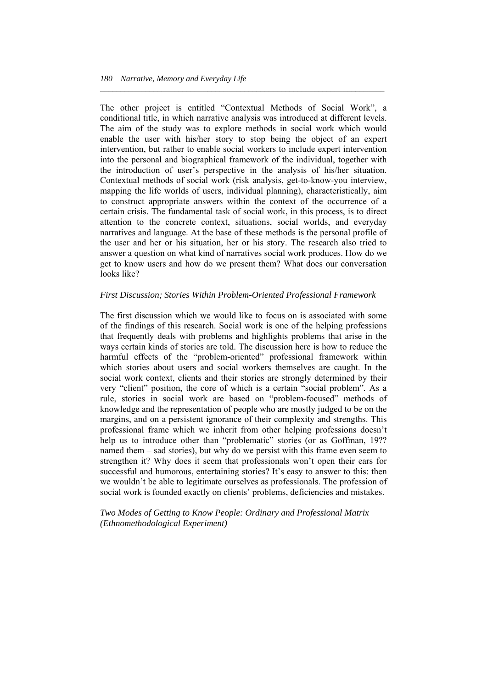The other project is entitled "Contextual Methods of Social Work", a conditional title, in which narrative analysis was introduced at different levels. The aim of the study was to explore methods in social work which would enable the user with his/her story to stop being the object of an expert intervention, but rather to enable social workers to include expert intervention into the personal and biographical framework of the individual, together with the introduction of user's perspective in the analysis of his/her situation. Contextual methods of social work (risk analysis, get-to-know-you interview, mapping the life worlds of users, individual planning), characteristically, aim to construct appropriate answers within the context of the occurrence of a certain crisis. The fundamental task of social work, in this process, is to direct attention to the concrete context, situations, social worlds, and everyday narratives and language. At the base of these methods is the personal profile of the user and her or his situation, her or his story. The research also tried to answer a question on what kind of narratives social work produces. How do we get to know users and how do we present them? What does our conversation looks like?

*\_\_\_\_\_\_\_\_\_\_\_\_\_\_\_\_\_\_\_\_\_\_\_\_\_\_\_\_\_\_\_\_\_\_\_\_\_\_\_\_\_\_\_\_\_\_\_\_\_\_\_\_\_\_\_\_\_\_\_\_\_\_\_\_\_\_\_\_\_* 

#### *First Discussion; Stories Within Problem-Oriented Professional Framework*

The first discussion which we would like to focus on is associated with some of the findings of this research. Social work is one of the helping professions that frequently deals with problems and highlights problems that arise in the ways certain kinds of stories are told. The discussion here is how to reduce the harmful effects of the "problem-oriented" professional framework within which stories about users and social workers themselves are caught. In the social work context, clients and their stories are strongly determined by their very "client" position, the core of which is a certain "social problem". As a rule, stories in social work are based on "problem-focused" methods of knowledge and the representation of people who are mostly judged to be on the margins, and on a persistent ignorance of their complexity and strengths. This professional frame which we inherit from other helping professions doesn't help us to introduce other than "problematic" stories (or as Goffman, 19?? named them – sad stories), but why do we persist with this frame even seem to strengthen it? Why does it seem that professionals won't open their ears for successful and humorous, entertaining stories? It's easy to answer to this: then we wouldn't be able to legitimate ourselves as professionals. The profession of social work is founded exactly on clients' problems, deficiencies and mistakes.

*Two Modes of Getting to Know People: Ordinary and Professional Matrix (Ethnomethodological Experiment)*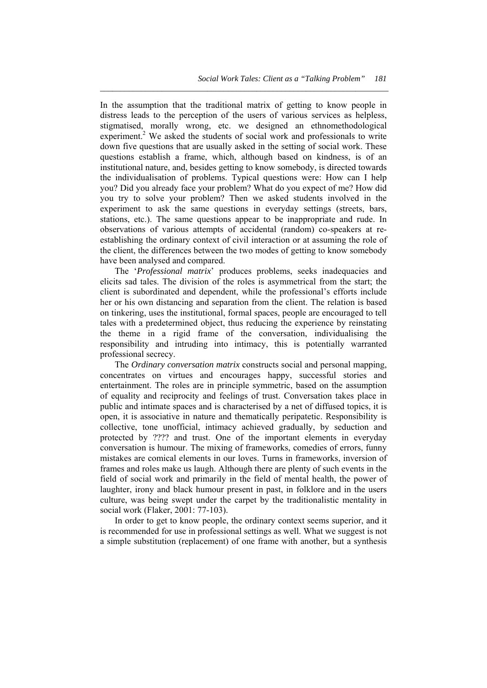In the assumption that the traditional matrix of getting to know people in distress leads to the perception of the users of various services as helpless, stigmatised, morally wrong, etc. we designed an ethnomethodological experiment.<sup>2</sup> We asked the students of social work and professionals to write down five questions that are usually asked in the setting of social work. These questions establish a frame, which, although based on kindness, is of an institutional nature, and, besides getting to know somebody, is directed towards the individualisation of problems. Typical questions were: How can I help you? Did you already face your problem? What do you expect of me? How did you try to solve your problem? Then we asked students involved in the experiment to ask the same questions in everyday settings (streets, bars, stations, etc.). The same questions appear to be inappropriate and rude. In observations of various attempts of accidental (random) co-speakers at reestablishing the ordinary context of civil interaction or at assuming the role of the client, the differences between the two modes of getting to know somebody have been analysed and compared.

*\_\_\_\_\_\_\_\_\_\_\_\_\_\_\_\_\_\_\_\_\_\_\_\_\_\_\_\_\_\_\_\_\_\_\_\_\_\_\_\_\_\_\_\_\_\_\_\_\_\_\_\_\_\_\_\_\_\_\_\_\_\_\_\_\_\_\_\_\_\_* 

 The '*Professional matrix*' produces problems, seeks inadequacies and elicits sad tales. The division of the roles is asymmetrical from the start; the client is subordinated and dependent, while the professional's efforts include her or his own distancing and separation from the client. The relation is based on tinkering, uses the institutional, formal spaces, people are encouraged to tell tales with a predetermined object, thus reducing the experience by reinstating the theme in a rigid frame of the conversation, individualising the responsibility and intruding into intimacy, this is potentially warranted professional secrecy.

 The *Ordinary conversation matrix* constructs social and personal mapping, concentrates on virtues and encourages happy, successful stories and entertainment. The roles are in principle symmetric, based on the assumption of equality and reciprocity and feelings of trust. Conversation takes place in public and intimate spaces and is characterised by a net of diffused topics, it is open, it is associative in nature and thematically peripatetic. Responsibility is collective, tone unofficial, intimacy achieved gradually, by seduction and protected by ???? and trust. One of the important elements in everyday conversation is humour. The mixing of frameworks, comedies of errors, funny mistakes are comical elements in our loves. Turns in frameworks, inversion of frames and roles make us laugh. Although there are plenty of such events in the field of social work and primarily in the field of mental health, the power of laughter, irony and black humour present in past, in folklore and in the users culture, was being swept under the carpet by the traditionalistic mentality in social work (Flaker, 2001: 77-103).

 In order to get to know people, the ordinary context seems superior, and it is recommended for use in professional settings as well. What we suggest is not a simple substitution (replacement) of one frame with another, but a synthesis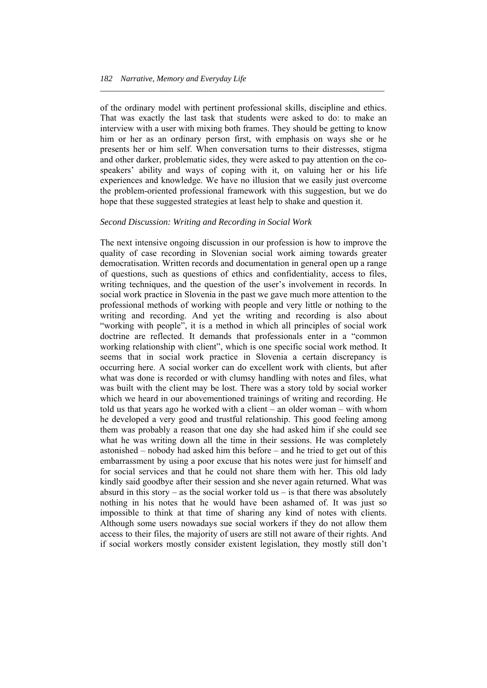of the ordinary model with pertinent professional skills, discipline and ethics. That was exactly the last task that students were asked to do: to make an interview with a user with mixing both frames. They should be getting to know him or her as an ordinary person first, with emphasis on ways she or he presents her or him self. When conversation turns to their distresses, stigma and other darker, problematic sides, they were asked to pay attention on the cospeakers' ability and ways of coping with it, on valuing her or his life experiences and knowledge. We have no illusion that we easily just overcome the problem-oriented professional framework with this suggestion, but we do hope that these suggested strategies at least help to shake and question it.

*\_\_\_\_\_\_\_\_\_\_\_\_\_\_\_\_\_\_\_\_\_\_\_\_\_\_\_\_\_\_\_\_\_\_\_\_\_\_\_\_\_\_\_\_\_\_\_\_\_\_\_\_\_\_\_\_\_\_\_\_\_\_\_\_\_\_\_\_\_* 

#### *Second Discussion: Writing and Recording in Social Work*

The next intensive ongoing discussion in our profession is how to improve the quality of case recording in Slovenian social work aiming towards greater democratisation. Written records and documentation in general open up a range of questions, such as questions of ethics and confidentiality, access to files, writing techniques, and the question of the user's involvement in records. In social work practice in Slovenia in the past we gave much more attention to the professional methods of working with people and very little or nothing to the writing and recording. And yet the writing and recording is also about "working with people", it is a method in which all principles of social work doctrine are reflected. It demands that professionals enter in a "common working relationship with client", which is one specific social work method. It seems that in social work practice in Slovenia a certain discrepancy is occurring here. A social worker can do excellent work with clients, but after what was done is recorded or with clumsy handling with notes and files, what was built with the client may be lost. There was a story told by social worker which we heard in our abovementioned trainings of writing and recording. He told us that years ago he worked with a client – an older woman – with whom he developed a very good and trustful relationship. This good feeling among them was probably a reason that one day she had asked him if she could see what he was writing down all the time in their sessions. He was completely astonished – nobody had asked him this before – and he tried to get out of this embarrassment by using a poor excuse that his notes were just for himself and for social services and that he could not share them with her. This old lady kindly said goodbye after their session and she never again returned. What was absurd in this story – as the social worker told us – is that there was absolutely nothing in his notes that he would have been ashamed of. It was just so impossible to think at that time of sharing any kind of notes with clients. Although some users nowadays sue social workers if they do not allow them access to their files, the majority of users are still not aware of their rights. And if social workers mostly consider existent legislation, they mostly still don't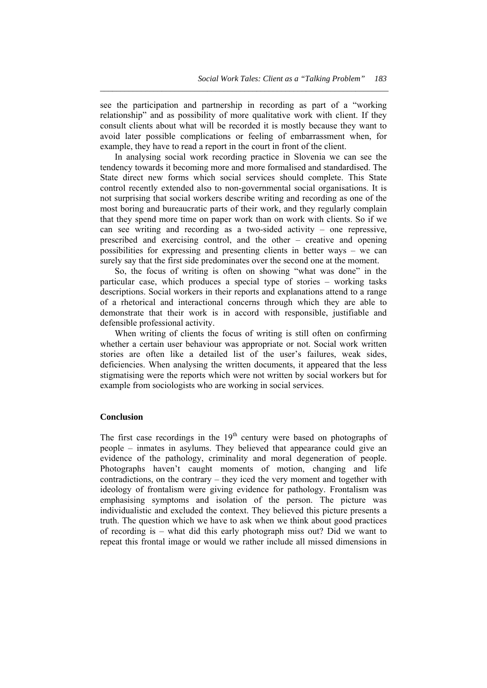see the participation and partnership in recording as part of a "working relationship" and as possibility of more qualitative work with client. If they consult clients about what will be recorded it is mostly because they want to avoid later possible complications or feeling of embarrassment when, for example, they have to read a report in the court in front of the client.

*\_\_\_\_\_\_\_\_\_\_\_\_\_\_\_\_\_\_\_\_\_\_\_\_\_\_\_\_\_\_\_\_\_\_\_\_\_\_\_\_\_\_\_\_\_\_\_\_\_\_\_\_\_\_\_\_\_\_\_\_\_\_\_\_\_\_\_\_\_\_* 

 In analysing social work recording practice in Slovenia we can see the tendency towards it becoming more and more formalised and standardised. The State direct new forms which social services should complete. This State control recently extended also to non-governmental social organisations. It is not surprising that social workers describe writing and recording as one of the most boring and bureaucratic parts of their work, and they regularly complain that they spend more time on paper work than on work with clients. So if we can see writing and recording as a two-sided activity – one repressive, prescribed and exercising control, and the other – creative and opening possibilities for expressing and presenting clients in better ways – we can surely say that the first side predominates over the second one at the moment.

 So, the focus of writing is often on showing "what was done" in the particular case, which produces a special type of stories – working tasks descriptions. Social workers in their reports and explanations attend to a range of a rhetorical and interactional concerns through which they are able to demonstrate that their work is in accord with responsible, justifiable and defensible professional activity.

 When writing of clients the focus of writing is still often on confirming whether a certain user behaviour was appropriate or not. Social work written stories are often like a detailed list of the user's failures, weak sides, deficiencies. When analysing the written documents, it appeared that the less stigmatising were the reports which were not written by social workers but for example from sociologists who are working in social services.

#### **Conclusion**

The first case recordings in the  $19<sup>th</sup>$  century were based on photographs of people – inmates in asylums. They believed that appearance could give an evidence of the pathology, criminality and moral degeneration of people. Photographs haven't caught moments of motion, changing and life contradictions, on the contrary – they iced the very moment and together with ideology of frontalism were giving evidence for pathology. Frontalism was emphasising symptoms and isolation of the person. The picture was individualistic and excluded the context. They believed this picture presents a truth. The question which we have to ask when we think about good practices of recording is – what did this early photograph miss out? Did we want to repeat this frontal image or would we rather include all missed dimensions in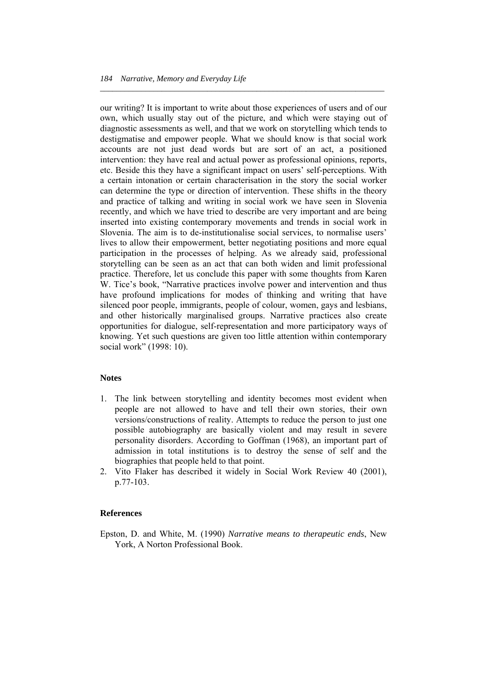our writing? It is important to write about those experiences of users and of our own, which usually stay out of the picture, and which were staying out of diagnostic assessments as well, and that we work on storytelling which tends to destigmatise and empower people. What we should know is that social work accounts are not just dead words but are sort of an act, a positioned intervention: they have real and actual power as professional opinions, reports, etc. Beside this they have a significant impact on users' self-perceptions. With a certain intonation or certain characterisation in the story the social worker can determine the type or direction of intervention. These shifts in the theory and practice of talking and writing in social work we have seen in Slovenia recently, and which we have tried to describe are very important and are being inserted into existing contemporary movements and trends in social work in Slovenia. The aim is to de-institutionalise social services, to normalise users' lives to allow their empowerment, better negotiating positions and more equal participation in the processes of helping. As we already said, professional storytelling can be seen as an act that can both widen and limit professional practice. Therefore, let us conclude this paper with some thoughts from Karen W. Tice's book, "Narrative practices involve power and intervention and thus have profound implications for modes of thinking and writing that have silenced poor people, immigrants, people of colour, women, gays and lesbians, and other historically marginalised groups. Narrative practices also create opportunities for dialogue, self-representation and more participatory ways of knowing. Yet such questions are given too little attention within contemporary social work" (1998: 10).

*\_\_\_\_\_\_\_\_\_\_\_\_\_\_\_\_\_\_\_\_\_\_\_\_\_\_\_\_\_\_\_\_\_\_\_\_\_\_\_\_\_\_\_\_\_\_\_\_\_\_\_\_\_\_\_\_\_\_\_\_\_\_\_\_\_\_\_\_\_* 

#### **Notes**

- 1. The link between storytelling and identity becomes most evident when people are not allowed to have and tell their own stories, their own versions/constructions of reality. Attempts to reduce the person to just one possible autobiography are basically violent and may result in severe personality disorders. According to Goffman (1968), an important part of admission in total institutions is to destroy the sense of self and the biographies that people held to that point.
- 2. Vito Flaker has described it widely in Social Work Review 40 (2001), p.77-103.

#### **References**

Epston, D. and White, M. (1990) *Narrative means to therapeutic ends*, New York, A Norton Professional Book.